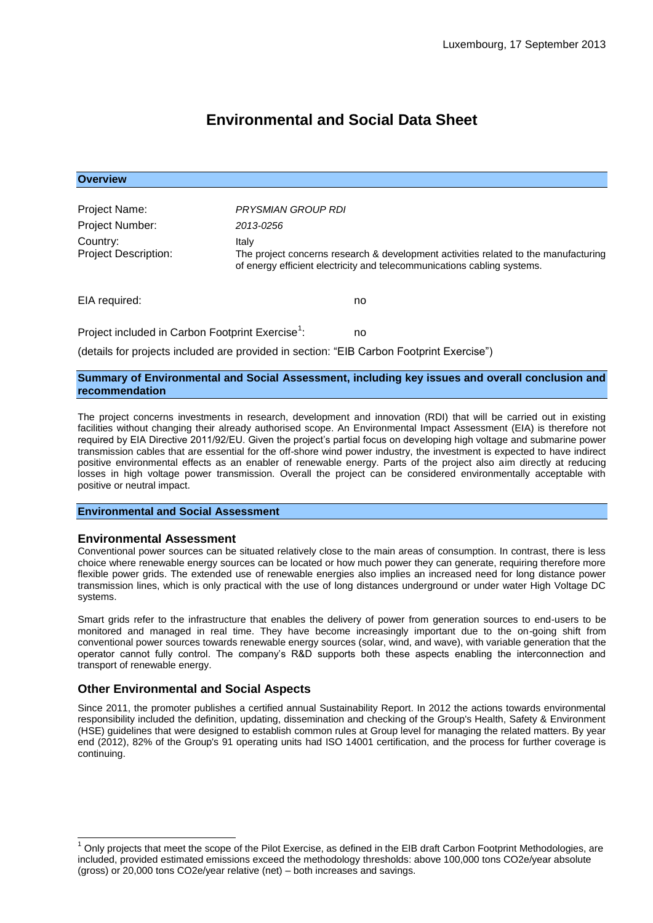# **Environmental and Social Data Sheet**

| <b>Overview</b>                                              |                                                                                                                                                                         |                                                                                          |
|--------------------------------------------------------------|-------------------------------------------------------------------------------------------------------------------------------------------------------------------------|------------------------------------------------------------------------------------------|
|                                                              |                                                                                                                                                                         |                                                                                          |
| Project Name:                                                | PRYSMIAN GROUP RDI                                                                                                                                                      |                                                                                          |
| Project Number:                                              | 2013-0256                                                                                                                                                               |                                                                                          |
| Country:<br><b>Project Description:</b>                      | Italy<br>The project concerns research & development activities related to the manufacturing<br>of energy efficient electricity and telecommunications cabling systems. |                                                                                          |
| EIA required:                                                |                                                                                                                                                                         | no.                                                                                      |
| Project included in Carbon Footprint Exercise <sup>1</sup> : |                                                                                                                                                                         | no                                                                                       |
|                                                              |                                                                                                                                                                         | (details for projects included are provided in section: "EIB Carbon Footprint Exercise") |

# **Summary of Environmental and Social Assessment, including key issues and overall conclusion and**

The project concerns investments in research, development and innovation (RDI) that will be carried out in existing facilities without changing their already authorised scope. An Environmental Impact Assessment (EIA) is therefore not required by EIA Directive 2011/92/EU. Given the project's partial focus on developing high voltage and submarine power transmission cables that are essential for the off-shore wind power industry, the investment is expected to have indirect positive environmental effects as an enabler of renewable energy. Parts of the project also aim directly at reducing losses in high voltage power transmission. Overall the project can be considered environmentally acceptable with

## **Environmental and Social Assessment**

## **Environmental Assessment**

**recommendation**

positive or neutral impact.

 $\overline{\phantom{a}}$ 

Conventional power sources can be situated relatively close to the main areas of consumption. In contrast, there is less choice where renewable energy sources can be located or how much power they can generate, requiring therefore more flexible power grids. The extended use of renewable energies also implies an increased need for long distance power transmission lines, which is only practical with the use of long distances underground or under water High Voltage DC systems.

Smart grids refer to the infrastructure that enables the delivery of power from generation sources to end-users to be monitored and managed in real time. They have become increasingly important due to the on-going shift from conventional power sources towards renewable energy sources (solar, wind, and wave), with variable generation that the operator cannot fully control. The company's R&D supports both these aspects enabling the interconnection and transport of renewable energy.

## **Other Environmental and Social Aspects**

Since 2011, the promoter publishes a certified annual Sustainability Report. In 2012 the actions towards environmental responsibility included the definition, updating, dissemination and checking of the Group's Health, Safety & Environment (HSE) guidelines that were designed to establish common rules at Group level for managing the related matters. By year end (2012), 82% of the Group's 91 operating units had ISO 14001 certification, and the process for further coverage is continuing.

 $1$  Only projects that meet the scope of the Pilot Exercise, as defined in the EIB draft Carbon Footprint Methodologies, are included, provided estimated emissions exceed the methodology thresholds: above 100,000 tons CO2e/year absolute (gross) or 20,000 tons CO2e/year relative (net) – both increases and savings.